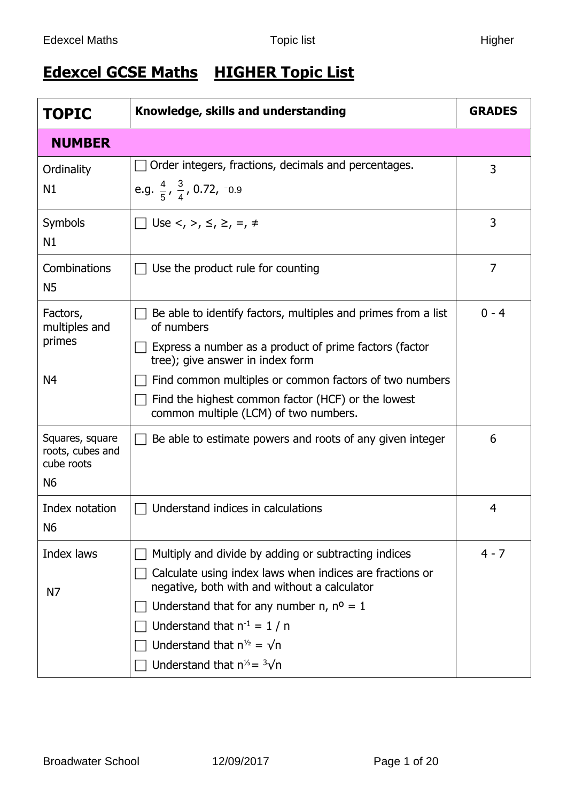## **Edexcel GCSE Maths HIGHER Topic List**

| <b>TOPIC</b>                                                        | Knowledge, skills and understanding                                                                                                                                                                                                                                                                                                  | <b>GRADES</b> |
|---------------------------------------------------------------------|--------------------------------------------------------------------------------------------------------------------------------------------------------------------------------------------------------------------------------------------------------------------------------------------------------------------------------------|---------------|
| <b>NUMBER</b>                                                       |                                                                                                                                                                                                                                                                                                                                      |               |
| Ordinality<br>N1                                                    | Order integers, fractions, decimals and percentages.<br>e.g. $\frac{4}{5}$ , $\frac{3}{4}$ , 0.72, -0.9                                                                                                                                                                                                                              | 3             |
| Symbols<br>N1                                                       | $\Box$ Use <, >, ≤, ≥, =, ≠                                                                                                                                                                                                                                                                                                          | 3             |
| Combinations<br>N <sub>5</sub>                                      | Use the product rule for counting                                                                                                                                                                                                                                                                                                    | 7             |
| Factors,<br>multiples and<br>primes                                 | Be able to identify factors, multiples and primes from a list<br>of numbers<br>Express a number as a product of prime factors (factor<br>tree); give answer in index form                                                                                                                                                            | $0 - 4$       |
| N <sub>4</sub>                                                      | Find common multiples or common factors of two numbers<br>Find the highest common factor (HCF) or the lowest<br>common multiple (LCM) of two numbers.                                                                                                                                                                                |               |
| Squares, square<br>roots, cubes and<br>cube roots<br>N <sub>6</sub> | Be able to estimate powers and roots of any given integer                                                                                                                                                                                                                                                                            | 6             |
| Index notation<br><b>N6</b>                                         | Understand indices in calculations                                                                                                                                                                                                                                                                                                   | 4             |
| Index laws<br>N7                                                    | Multiply and divide by adding or subtracting indices<br>Calculate using index laws when indices are fractions or<br>negative, both with and without a calculator<br>Understand that for any number n, $n^o = 1$<br>Understand that $n^{-1} = 1 / n$<br>Understand that $n^{1/2} = \sqrt{n}$<br>Understand that $n^{1/3} = 3\sqrt{n}$ | $4 - 7$       |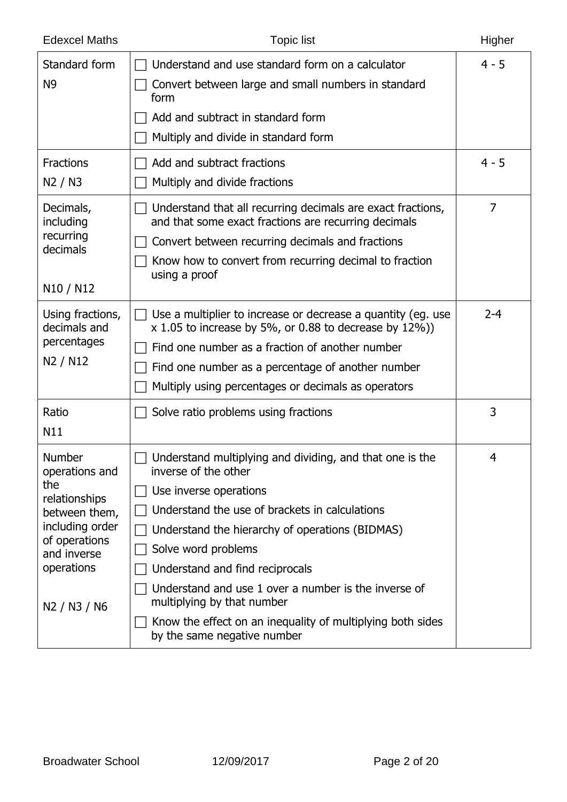| <b>Edexcel Maths</b>                                                                                                                                      | <b>Topic list</b>                                                                                                                                                                                                                                                                                                                                                                                                                                            | Higher         |
|-----------------------------------------------------------------------------------------------------------------------------------------------------------|--------------------------------------------------------------------------------------------------------------------------------------------------------------------------------------------------------------------------------------------------------------------------------------------------------------------------------------------------------------------------------------------------------------------------------------------------------------|----------------|
| Standard form<br>N <sub>9</sub>                                                                                                                           | Understand and use standard form on a calculator<br>Convert between large and small numbers in standard<br>form                                                                                                                                                                                                                                                                                                                                              | $4 - 5$        |
|                                                                                                                                                           | Add and subtract in standard form<br>Multiply and divide in standard form                                                                                                                                                                                                                                                                                                                                                                                    |                |
| <b>Fractions</b><br>N2 / N3                                                                                                                               | Add and subtract fractions<br>Multiply and divide fractions                                                                                                                                                                                                                                                                                                                                                                                                  | $4 - 5$        |
| Decimals,<br>including<br>recurring<br>decimals<br>N10 / N12                                                                                              | Understand that all recurring decimals are exact fractions,<br>and that some exact fractions are recurring decimals<br>Convert between recurring decimals and fractions<br>Know how to convert from recurring decimal to fraction<br>using a proof                                                                                                                                                                                                           | $\overline{7}$ |
| Using fractions,<br>decimals and<br>percentages<br>N2 / N12                                                                                               | Use a multiplier to increase or decrease a quantity (eg. use<br>$\times$ 1.05 to increase by 5%, or 0.88 to decrease by 12%))<br>Find one number as a fraction of another number<br>Find one number as a percentage of another number<br>Multiply using percentages or decimals as operators                                                                                                                                                                 | $2 - 4$        |
| Ratio<br>N11                                                                                                                                              | Solve ratio problems using fractions                                                                                                                                                                                                                                                                                                                                                                                                                         | 3              |
| <b>Number</b><br>operations and<br>the<br>relationships<br>between them,<br>including order<br>of operations<br>and inverse<br>operations<br>N2 / N3 / N6 | Understand multiplying and dividing, and that one is the<br>inverse of the other<br>Use inverse operations<br>Understand the use of brackets in calculations<br>Understand the hierarchy of operations (BIDMAS)<br>Solve word problems<br>Understand and find reciprocals<br>Understand and use 1 over a number is the inverse of<br>multiplying by that number<br>Know the effect on an inequality of multiplying both sides<br>by the same negative number | 4              |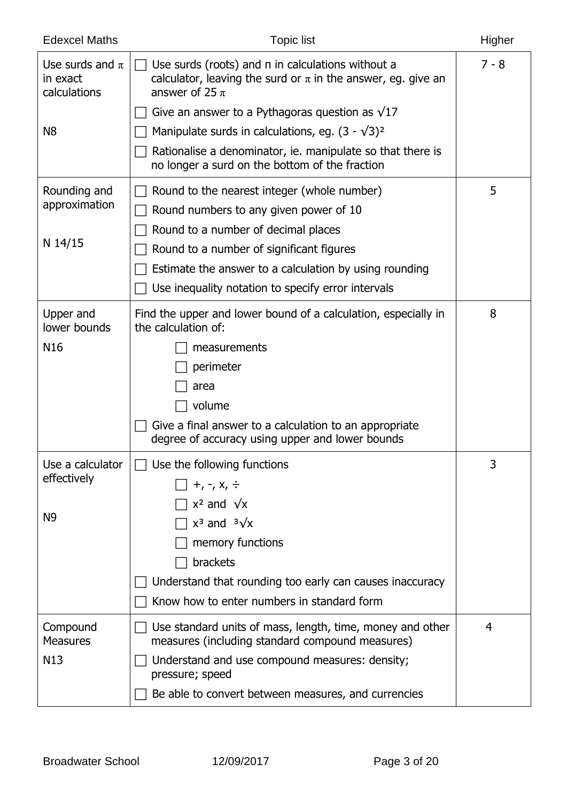| <b>Edexcel Maths</b>                            | <b>Topic list</b>                                                                                                                               | Higher  |
|-------------------------------------------------|-------------------------------------------------------------------------------------------------------------------------------------------------|---------|
| Use surds and $\pi$<br>in exact<br>calculations | Use surds (roots) and $\pi$ in calculations without a<br>calculator, leaving the surd or $\pi$ in the answer, eg. give an<br>answer of 25 $\pi$ | $7 - 8$ |
|                                                 | Give an answer to a Pythagoras question as $\sqrt{17}$                                                                                          |         |
| N <sub>8</sub>                                  | Manipulate surds in calculations, eg. $(3 - \sqrt{3})^2$                                                                                        |         |
|                                                 | Rationalise a denominator, ie. manipulate so that there is<br>no longer a surd on the bottom of the fraction                                    |         |
| Rounding and                                    | Round to the nearest integer (whole number)                                                                                                     | 5       |
| approximation                                   | Round numbers to any given power of 10                                                                                                          |         |
|                                                 | Round to a number of decimal places                                                                                                             |         |
| N 14/15                                         | Round to a number of significant figures                                                                                                        |         |
|                                                 | Estimate the answer to a calculation by using rounding                                                                                          |         |
|                                                 | Use inequality notation to specify error intervals                                                                                              |         |
| Upper and<br>lower bounds                       | Find the upper and lower bound of a calculation, especially in<br>the calculation of:                                                           | 8       |
| N <sub>16</sub>                                 | measurements                                                                                                                                    |         |
|                                                 | perimeter                                                                                                                                       |         |
|                                                 | area                                                                                                                                            |         |
|                                                 | volume                                                                                                                                          |         |
|                                                 | Give a final answer to a calculation to an appropriate<br>degree of accuracy using upper and lower bounds                                       |         |
| Use a calculator                                | Use the following functions                                                                                                                     | 3       |
| effectively                                     | $+$ , -, x, $\div$                                                                                                                              |         |
|                                                 | $x^2$ and $\sqrt{x}$                                                                                                                            |         |
| N <sub>9</sub>                                  | $x^3$ and $\frac{3\sqrt{x}}{x}$                                                                                                                 |         |
|                                                 | memory functions                                                                                                                                |         |
|                                                 | brackets                                                                                                                                        |         |
|                                                 | Understand that rounding too early can causes inaccuracy                                                                                        |         |
|                                                 | Know how to enter numbers in standard form                                                                                                      |         |
| Compound<br><b>Measures</b>                     | Use standard units of mass, length, time, money and other<br>measures (including standard compound measures)                                    | 4       |
| N <sub>13</sub>                                 | Understand and use compound measures: density;<br>pressure; speed                                                                               |         |
|                                                 | Be able to convert between measures, and currencies                                                                                             |         |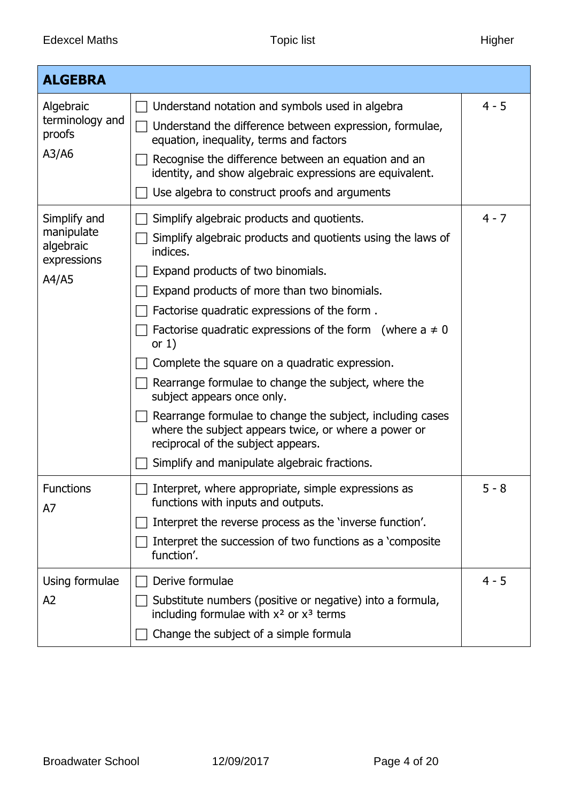| <b>ALGEBRA</b>                                                  |                                                                                                                                                                                                                                                                                                                                                                                                                                                                                                                                                                                                                                                                                         |         |
|-----------------------------------------------------------------|-----------------------------------------------------------------------------------------------------------------------------------------------------------------------------------------------------------------------------------------------------------------------------------------------------------------------------------------------------------------------------------------------------------------------------------------------------------------------------------------------------------------------------------------------------------------------------------------------------------------------------------------------------------------------------------------|---------|
| Algebraic<br>terminology and<br>proofs<br>A3/A6                 | Understand notation and symbols used in algebra<br>Understand the difference between expression, formulae,<br>equation, inequality, terms and factors<br>Recognise the difference between an equation and an<br>identity, and show algebraic expressions are equivalent.<br>Use algebra to construct proofs and arguments                                                                                                                                                                                                                                                                                                                                                               | $4 - 5$ |
| Simplify and<br>manipulate<br>algebraic<br>expressions<br>A4/A5 | Simplify algebraic products and quotients.<br>Simplify algebraic products and quotients using the laws of<br>indices.<br>Expand products of two binomials.<br>Expand products of more than two binomials.<br>Factorise quadratic expressions of the form.<br>Factorise quadratic expressions of the form (where $a \neq 0$<br>or $1)$<br>Complete the square on a quadratic expression.<br>Rearrange formulae to change the subject, where the<br>subject appears once only.<br>Rearrange formulae to change the subject, including cases<br>where the subject appears twice, or where a power or<br>reciprocal of the subject appears.<br>Simplify and manipulate algebraic fractions. | $4 - 7$ |
| <b>Functions</b><br>A7                                          | Interpret, where appropriate, simple expressions as<br>functions with inputs and outputs.<br>Interpret the reverse process as the 'inverse function'.<br>Interpret the succession of two functions as a 'composite<br>function'.                                                                                                                                                                                                                                                                                                                                                                                                                                                        | $5 - 8$ |
| Using formulae<br>A <sub>2</sub>                                | Derive formulae<br>Substitute numbers (positive or negative) into a formula,<br>including formulae with $x^2$ or $x^3$ terms<br>Change the subject of a simple formula                                                                                                                                                                                                                                                                                                                                                                                                                                                                                                                  | $4 - 5$ |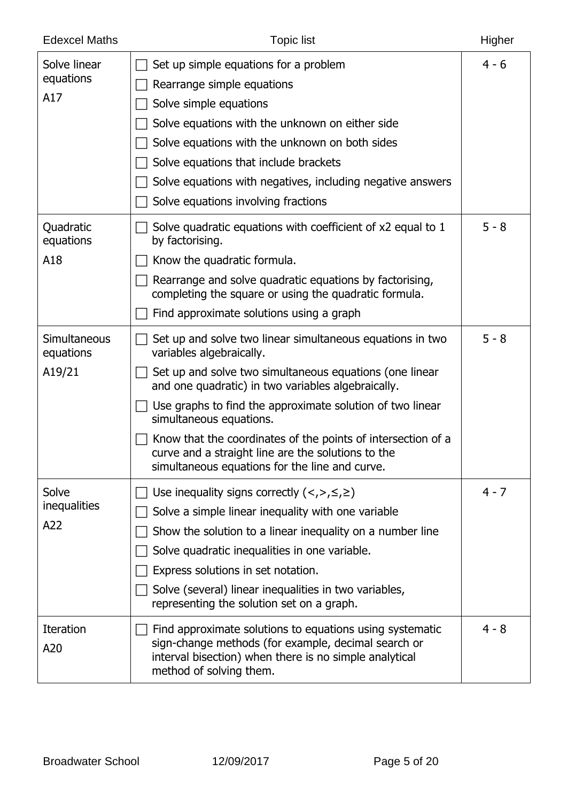| <b>Edexcel Maths</b>      | <b>Topic list</b>                                                                                                                                                                                    | Higher  |
|---------------------------|------------------------------------------------------------------------------------------------------------------------------------------------------------------------------------------------------|---------|
| Solve linear<br>equations | Set up simple equations for a problem<br>Rearrange simple equations                                                                                                                                  | $4 - 6$ |
| A17                       | Solve simple equations                                                                                                                                                                               |         |
|                           | Solve equations with the unknown on either side                                                                                                                                                      |         |
|                           | Solve equations with the unknown on both sides                                                                                                                                                       |         |
|                           | Solve equations that include brackets                                                                                                                                                                |         |
|                           | Solve equations with negatives, including negative answers                                                                                                                                           |         |
|                           | Solve equations involving fractions                                                                                                                                                                  |         |
| Quadratic<br>equations    | Solve quadratic equations with coefficient of x2 equal to 1<br>by factorising.                                                                                                                       | $5 - 8$ |
| A18                       | Know the quadratic formula.                                                                                                                                                                          |         |
|                           | Rearrange and solve quadratic equations by factorising,<br>completing the square or using the quadratic formula.                                                                                     |         |
|                           | Find approximate solutions using a graph                                                                                                                                                             |         |
| Simultaneous<br>equations | Set up and solve two linear simultaneous equations in two<br>variables algebraically.                                                                                                                | $5 - 8$ |
| A19/21                    | Set up and solve two simultaneous equations (one linear<br>and one quadratic) in two variables algebraically.                                                                                        |         |
|                           | Use graphs to find the approximate solution of two linear<br>simultaneous equations.                                                                                                                 |         |
|                           | Know that the coordinates of the points of intersection of a<br>curve and a straight line are the solutions to the<br>simultaneous equations for the line and curve.                                 |         |
| Solve                     | Use inequality signs correctly $(<,>,\leq, \geq)$                                                                                                                                                    | $4 - 7$ |
| <i>inequalities</i>       | Solve a simple linear inequality with one variable                                                                                                                                                   |         |
| A22                       | Show the solution to a linear inequality on a number line                                                                                                                                            |         |
|                           | Solve quadratic inequalities in one variable.                                                                                                                                                        |         |
|                           | Express solutions in set notation.                                                                                                                                                                   |         |
|                           | Solve (several) linear inequalities in two variables,<br>representing the solution set on a graph.                                                                                                   |         |
| Iteration<br>A20          | Find approximate solutions to equations using systematic<br>sign-change methods (for example, decimal search or<br>interval bisection) when there is no simple analytical<br>method of solving them. | $4 - 8$ |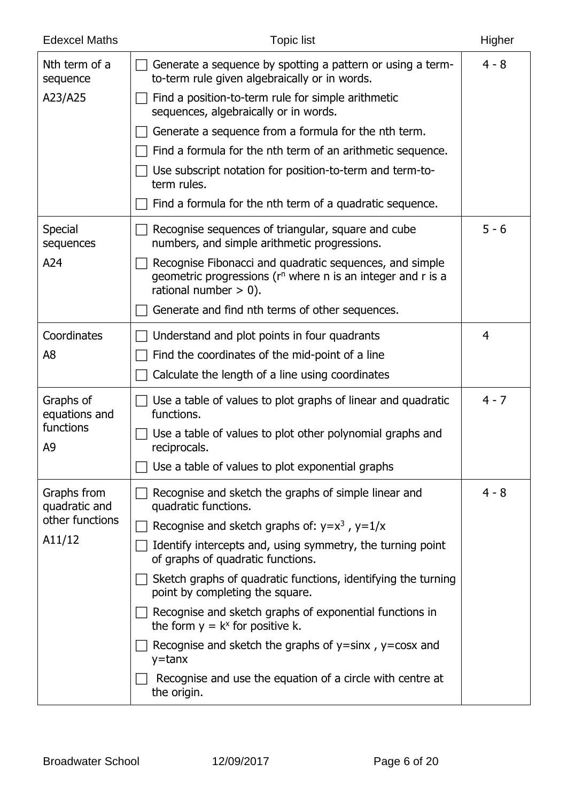| <b>Edexcel Maths</b>         | <b>Topic list</b>                                                                                                                                      | Higher  |
|------------------------------|--------------------------------------------------------------------------------------------------------------------------------------------------------|---------|
| Nth term of a<br>sequence    | Generate a sequence by spotting a pattern or using a term-<br>to-term rule given algebraically or in words.                                            | $4 - 8$ |
| A23/A25                      | Find a position-to-term rule for simple arithmetic<br>sequences, algebraically or in words.                                                            |         |
|                              | Generate a sequence from a formula for the nth term.                                                                                                   |         |
|                              | Find a formula for the nth term of an arithmetic sequence.                                                                                             |         |
|                              | Use subscript notation for position-to-term and term-to-<br>term rules.                                                                                |         |
|                              | Find a formula for the nth term of a quadratic sequence.                                                                                               |         |
| Special<br>sequences         | Recognise sequences of triangular, square and cube<br>numbers, and simple arithmetic progressions.                                                     | $5 - 6$ |
| A24                          | Recognise Fibonacci and quadratic sequences, and simple<br>geometric progressions ( $r^n$ where n is an integer and r is a<br>rational number $> 0$ ). |         |
|                              | Generate and find nth terms of other sequences.                                                                                                        |         |
| Coordinates                  | Understand and plot points in four quadrants                                                                                                           | 4       |
| A <sub>8</sub>               | Find the coordinates of the mid-point of a line                                                                                                        |         |
|                              | Calculate the length of a line using coordinates                                                                                                       |         |
| Graphs of<br>equations and   | Use a table of values to plot graphs of linear and quadratic<br>functions.                                                                             | $4 - 7$ |
| functions<br>A <sub>9</sub>  | Use a table of values to plot other polynomial graphs and<br>reciprocals.                                                                              |         |
|                              | Use a table of values to plot exponential graphs                                                                                                       |         |
| Graphs from<br>quadratic and | Recognise and sketch the graphs of simple linear and<br>quadratic functions.                                                                           | $4 - 8$ |
| other functions<br>A11/12    | Recognise and sketch graphs of: $y=x^3$ , $y=1/x$                                                                                                      |         |
|                              | Identify intercepts and, using symmetry, the turning point<br>of graphs of quadratic functions.                                                        |         |
|                              | Sketch graphs of quadratic functions, identifying the turning<br>point by completing the square.                                                       |         |
|                              | Recognise and sketch graphs of exponential functions in<br>the form $y = k^x$ for positive k.                                                          |         |
|                              | Recognise and sketch the graphs of $y = sinx$ , $y = cosx$ and<br>$y = tan x$                                                                          |         |
|                              | Recognise and use the equation of a circle with centre at<br>the origin.                                                                               |         |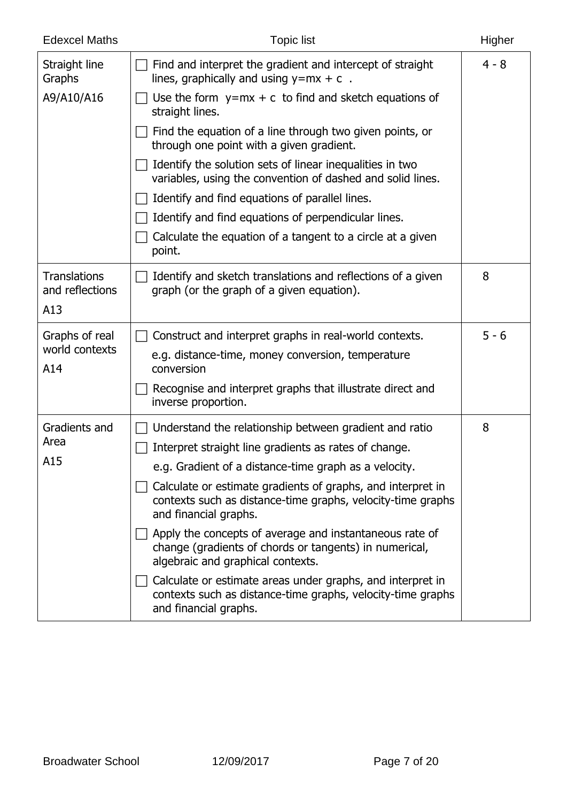| <b>Edexcel Maths</b>                          | <b>Topic list</b>                                                                                                                                      | Higher  |
|-----------------------------------------------|--------------------------------------------------------------------------------------------------------------------------------------------------------|---------|
| Straight line<br>Graphs                       | Find and interpret the gradient and intercept of straight<br>lines, graphically and using $y=mx + c$ .                                                 | $4 - 8$ |
| A9/A10/A16                                    | Use the form $y=mx + c$ to find and sketch equations of<br>straight lines.                                                                             |         |
|                                               | Find the equation of a line through two given points, or<br>through one point with a given gradient.                                                   |         |
|                                               | Identify the solution sets of linear inequalities in two<br>variables, using the convention of dashed and solid lines.                                 |         |
|                                               | Identify and find equations of parallel lines.                                                                                                         |         |
|                                               | Identify and find equations of perpendicular lines.                                                                                                    |         |
|                                               | Calculate the equation of a tangent to a circle at a given<br>point.                                                                                   |         |
| <b>Translations</b><br>and reflections<br>A13 | Identify and sketch translations and reflections of a given<br>graph (or the graph of a given equation).                                               | 8       |
| Graphs of real                                | Construct and interpret graphs in real-world contexts.                                                                                                 | $5 - 6$ |
| world contexts<br>A14                         | e.g. distance-time, money conversion, temperature<br>conversion                                                                                        |         |
|                                               | Recognise and interpret graphs that illustrate direct and<br>inverse proportion.                                                                       |         |
| Gradients and                                 | Understand the relationship between gradient and ratio                                                                                                 | 8       |
| Area                                          | Interpret straight line gradients as rates of change.                                                                                                  |         |
| A15                                           | e.g. Gradient of a distance-time graph as a velocity.                                                                                                  |         |
|                                               | Calculate or estimate gradients of graphs, and interpret in<br>contexts such as distance-time graphs, velocity-time graphs<br>and financial graphs.    |         |
|                                               | Apply the concepts of average and instantaneous rate of<br>change (gradients of chords or tangents) in numerical,<br>algebraic and graphical contexts. |         |
|                                               | Calculate or estimate areas under graphs, and interpret in<br>contexts such as distance-time graphs, velocity-time graphs<br>and financial graphs.     |         |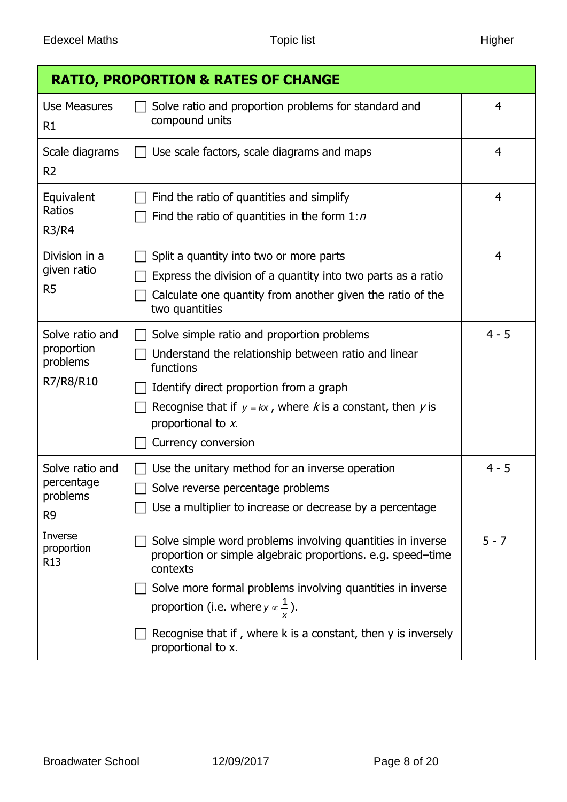|                                                             | <b>RATIO, PROPORTION &amp; RATES OF CHANGE</b>                                                                                                                                                                                                                                                                                                  |         |
|-------------------------------------------------------------|-------------------------------------------------------------------------------------------------------------------------------------------------------------------------------------------------------------------------------------------------------------------------------------------------------------------------------------------------|---------|
| <b>Use Measures</b><br>R1                                   | Solve ratio and proportion problems for standard and<br>compound units                                                                                                                                                                                                                                                                          | 4       |
| Scale diagrams<br>R <sub>2</sub>                            | Use scale factors, scale diagrams and maps                                                                                                                                                                                                                                                                                                      | 4       |
| Equivalent<br>Ratios<br><b>R3/R4</b>                        | Find the ratio of quantities and simplify<br>Find the ratio of quantities in the form $1:n$                                                                                                                                                                                                                                                     | 4       |
| Division in a<br>given ratio<br>R <sub>5</sub>              | Split a quantity into two or more parts<br>Express the division of a quantity into two parts as a ratio<br>Calculate one quantity from another given the ratio of the<br>two quantities                                                                                                                                                         | 4       |
| Solve ratio and<br>proportion<br>problems<br>R7/R8/R10      | Solve simple ratio and proportion problems<br>Understand the relationship between ratio and linear<br>functions<br>Identify direct proportion from a graph<br>Recognise that if $y = kx$ , where k is a constant, then y is<br>proportional to $x$ .<br>Currency conversion                                                                     | $4 - 5$ |
| Solve ratio and<br>percentage<br>problems<br>R <sub>9</sub> | Use the unitary method for an inverse operation<br>Solve reverse percentage problems<br>Use a multiplier to increase or decrease by a percentage                                                                                                                                                                                                | $4 - 5$ |
| Inverse<br>proportion<br>R <sub>13</sub>                    | Solve simple word problems involving quantities in inverse<br>proportion or simple algebraic proportions. e.g. speed-time<br>contexts<br>Solve more formal problems involving quantities in inverse<br>proportion (i.e. where $y \propto \frac{1}{y}$ ).<br>Recognise that if, where k is a constant, then y is inversely<br>proportional to x. | $5 - 7$ |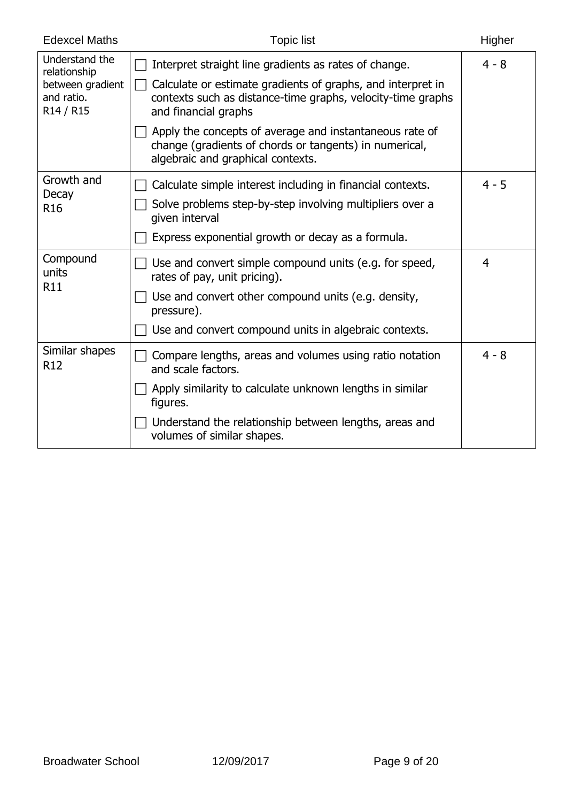| <b>Edexcel Maths</b>                                                          | <b>Topic list</b>                                                                                                                                                  | Higher  |
|-------------------------------------------------------------------------------|--------------------------------------------------------------------------------------------------------------------------------------------------------------------|---------|
| Understand the<br>relationship<br>between gradient<br>and ratio.<br>R14 / R15 | Interpret straight line gradients as rates of change.                                                                                                              | $4 - 8$ |
|                                                                               | Calculate or estimate gradients of graphs, and interpret in<br>$\mathbf{L}$<br>contexts such as distance-time graphs, velocity-time graphs<br>and financial graphs |         |
|                                                                               | $\Box$ Apply the concepts of average and instantaneous rate of<br>change (gradients of chords or tangents) in numerical,<br>algebraic and graphical contexts.      |         |
| Growth and                                                                    | Calculate simple interest including in financial contexts.                                                                                                         | $4 - 5$ |
| Decay<br>R <sub>16</sub>                                                      | Solve problems step-by-step involving multipliers over a<br>given interval                                                                                         |         |
|                                                                               | Express exponential growth or decay as a formula.                                                                                                                  |         |
| Compound<br>units<br><b>R11</b>                                               | Use and convert simple compound units (e.g. for speed,<br>rates of pay, unit pricing).                                                                             | 4       |
|                                                                               | Use and convert other compound units (e.g. density,<br>pressure).                                                                                                  |         |
|                                                                               | Use and convert compound units in algebraic contexts.                                                                                                              |         |
| Similar shapes<br><b>R12</b>                                                  | Compare lengths, areas and volumes using ratio notation<br>and scale factors.                                                                                      | $4 - 8$ |
|                                                                               | Apply similarity to calculate unknown lengths in similar<br>figures.                                                                                               |         |
|                                                                               | Understand the relationship between lengths, areas and<br>volumes of similar shapes.                                                                               |         |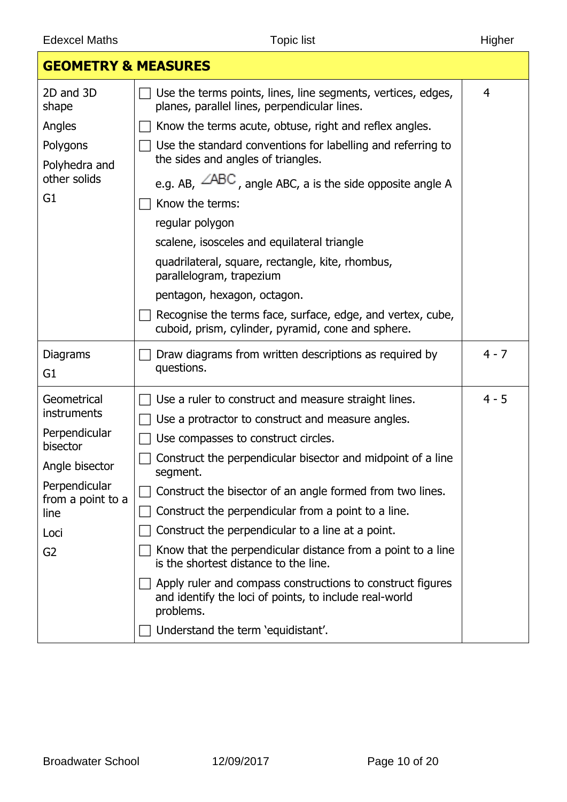| <b>GEOMETRY &amp; MEASURES</b>                  |                                                                                                                                   |                |
|-------------------------------------------------|-----------------------------------------------------------------------------------------------------------------------------------|----------------|
| 2D and 3D<br>shape                              | Use the terms points, lines, line segments, vertices, edges,<br>planes, parallel lines, perpendicular lines.                      | $\overline{4}$ |
| Angles                                          | Know the terms acute, obtuse, right and reflex angles.                                                                            |                |
| Polygons                                        | Use the standard conventions for labelling and referring to<br>the sides and angles of triangles.                                 |                |
| Polyhedra and<br>other solids<br>G <sub>1</sub> | e.g. AB, $\angle ABC$ , angle ABC, a is the side opposite angle A<br>Know the terms:                                              |                |
|                                                 | regular polygon                                                                                                                   |                |
|                                                 | scalene, isosceles and equilateral triangle                                                                                       |                |
|                                                 | quadrilateral, square, rectangle, kite, rhombus,<br>parallelogram, trapezium                                                      |                |
|                                                 | pentagon, hexagon, octagon.                                                                                                       |                |
|                                                 | Recognise the terms face, surface, edge, and vertex, cube,<br>cuboid, prism, cylinder, pyramid, cone and sphere.                  |                |
| <b>Diagrams</b><br>G1                           | Draw diagrams from written descriptions as required by<br>questions.                                                              | $4 - 7$        |
| Geometrical                                     | Use a ruler to construct and measure straight lines.                                                                              | $4 - 5$        |
| instruments                                     | Use a protractor to construct and measure angles.                                                                                 |                |
| Perpendicular<br>bisector                       | Use compasses to construct circles.                                                                                               |                |
| Angle bisector                                  | Construct the perpendicular bisector and midpoint of a line<br>segment.                                                           |                |
| Perpendicular                                   | Construct the bisector of an angle formed from two lines.                                                                         |                |
| from a point to a<br>line                       | Construct the perpendicular from a point to a line.                                                                               |                |
| Loci                                            | Construct the perpendicular to a line at a point.                                                                                 |                |
| G <sub>2</sub>                                  | Know that the perpendicular distance from a point to a line<br>is the shortest distance to the line.                              |                |
|                                                 | Apply ruler and compass constructions to construct figures<br>and identify the loci of points, to include real-world<br>problems. |                |
|                                                 | Understand the term 'equidistant'.                                                                                                |                |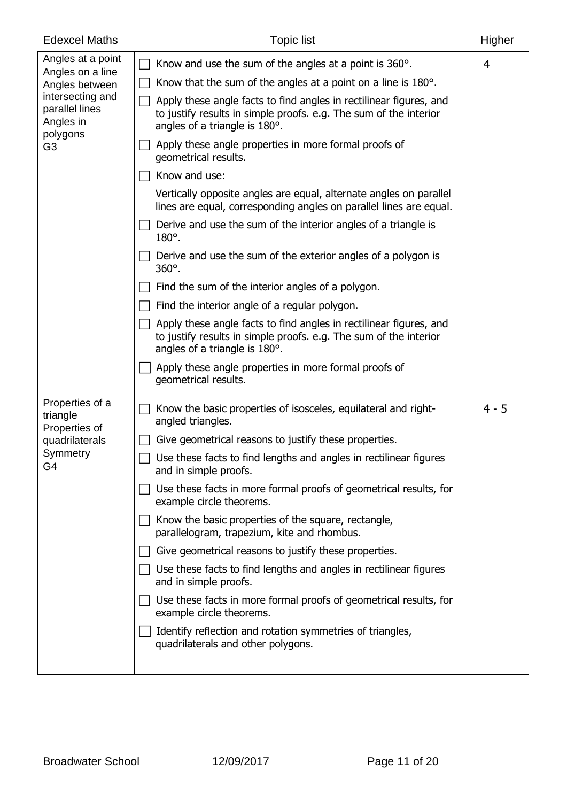| <b>Edexcel Maths</b>                                                                                       | <b>Topic list</b>                                                                                                                                                        | Higher  |
|------------------------------------------------------------------------------------------------------------|--------------------------------------------------------------------------------------------------------------------------------------------------------------------------|---------|
| Angles at a point<br>Angles on a line<br>Angles between<br>intersecting and<br>parallel lines<br>Angles in | Know and use the sum of the angles at a point is 360°.                                                                                                                   | 4       |
|                                                                                                            | Know that the sum of the angles at a point on a line is $180^\circ$ .                                                                                                    |         |
|                                                                                                            | Apply these angle facts to find angles in rectilinear figures, and<br>to justify results in simple proofs. e.g. The sum of the interior<br>angles of a triangle is 180°. |         |
| polygons<br>G <sub>3</sub>                                                                                 | Apply these angle properties in more formal proofs of<br>geometrical results.                                                                                            |         |
|                                                                                                            | Know and use:                                                                                                                                                            |         |
|                                                                                                            | Vertically opposite angles are equal, alternate angles on parallel<br>lines are equal, corresponding angles on parallel lines are equal.                                 |         |
|                                                                                                            | Derive and use the sum of the interior angles of a triangle is<br>$180^\circ$ .                                                                                          |         |
|                                                                                                            | Derive and use the sum of the exterior angles of a polygon is<br>$360^\circ$ .                                                                                           |         |
|                                                                                                            | Find the sum of the interior angles of a polygon.                                                                                                                        |         |
|                                                                                                            | Find the interior angle of a regular polygon.                                                                                                                            |         |
|                                                                                                            | Apply these angle facts to find angles in rectilinear figures, and<br>to justify results in simple proofs. e.g. The sum of the interior<br>angles of a triangle is 180°. |         |
|                                                                                                            | Apply these angle properties in more formal proofs of<br>geometrical results.                                                                                            |         |
| Properties of a<br>triangle<br>Properties of                                                               | Know the basic properties of isosceles, equilateral and right-<br>angled triangles.                                                                                      | $4 - 5$ |
| quadrilaterals                                                                                             | Give geometrical reasons to justify these properties.                                                                                                                    |         |
| Symmetry<br>G4                                                                                             | Use these facts to find lengths and angles in rectilinear figures<br>and in simple proofs.                                                                               |         |
|                                                                                                            | Use these facts in more formal proofs of geometrical results, for<br>example circle theorems.                                                                            |         |
|                                                                                                            | Know the basic properties of the square, rectangle,<br>parallelogram, trapezium, kite and rhombus.                                                                       |         |
|                                                                                                            | Give geometrical reasons to justify these properties.                                                                                                                    |         |
|                                                                                                            | Use these facts to find lengths and angles in rectilinear figures<br>and in simple proofs.                                                                               |         |
|                                                                                                            | Use these facts in more formal proofs of geometrical results, for<br>example circle theorems.                                                                            |         |
|                                                                                                            | Identify reflection and rotation symmetries of triangles,<br>quadrilaterals and other polygons.                                                                          |         |
|                                                                                                            |                                                                                                                                                                          |         |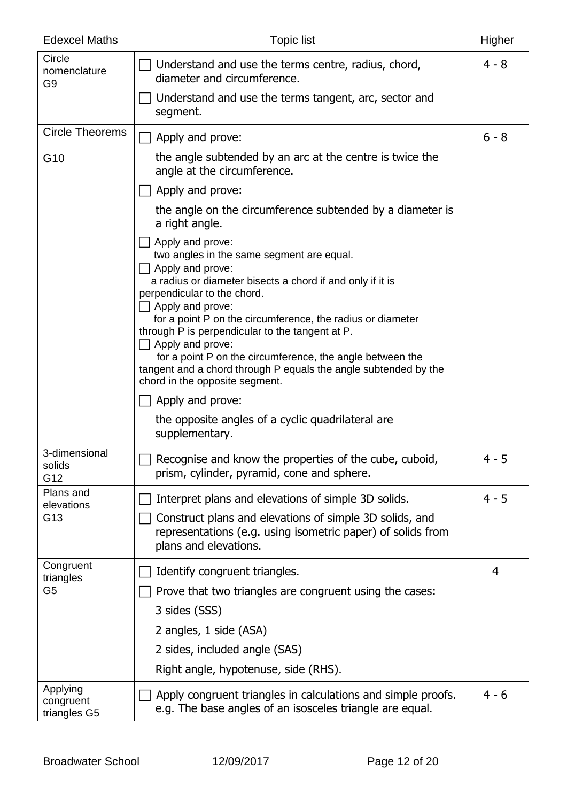| <b>Edexcel Maths</b>                     | <b>Topic list</b>                                                                                                                                              | Higher         |
|------------------------------------------|----------------------------------------------------------------------------------------------------------------------------------------------------------------|----------------|
| Circle<br>nomenclature<br>G <sub>9</sub> | Understand and use the terms centre, radius, chord,<br>diameter and circumference.                                                                             | $4 - 8$        |
|                                          | Understand and use the terms tangent, arc, sector and<br>segment.                                                                                              |                |
| <b>Circle Theorems</b>                   | Apply and prove:                                                                                                                                               | $6 - 8$        |
| G <sub>10</sub>                          | the angle subtended by an arc at the centre is twice the<br>angle at the circumference.                                                                        |                |
|                                          | Apply and prove:                                                                                                                                               |                |
|                                          | the angle on the circumference subtended by a diameter is<br>a right angle.                                                                                    |                |
|                                          | Apply and prove:<br>two angles in the same segment are equal.                                                                                                  |                |
|                                          | $\Box$ Apply and prove:<br>a radius or diameter bisects a chord if and only if it is<br>perpendicular to the chord.<br>$\Box$ Apply and prove:                 |                |
|                                          | for a point P on the circumference, the radius or diameter<br>through P is perpendicular to the tangent at P.<br>$\Box$ Apply and prove:                       |                |
|                                          | for a point P on the circumference, the angle between the<br>tangent and a chord through P equals the angle subtended by the<br>chord in the opposite segment. |                |
|                                          | Apply and prove:                                                                                                                                               |                |
|                                          | the opposite angles of a cyclic quadrilateral are<br>supplementary.                                                                                            |                |
| 3-dimensional<br>solids<br>G12           | Recognise and know the properties of the cube, cuboid,<br>prism, cylinder, pyramid, cone and sphere.                                                           | 4 - 5          |
| Plans and<br>elevations                  | Interpret plans and elevations of simple 3D solids.                                                                                                            | $4 - 5$        |
| G13                                      | Construct plans and elevations of simple 3D solids, and<br>representations (e.g. using isometric paper) of solids from<br>plans and elevations.                |                |
| Congruent<br>triangles                   | Identify congruent triangles.                                                                                                                                  | $\overline{4}$ |
| G <sub>5</sub>                           | Prove that two triangles are congruent using the cases:                                                                                                        |                |
|                                          | 3 sides (SSS)                                                                                                                                                  |                |
|                                          | 2 angles, 1 side (ASA)                                                                                                                                         |                |
|                                          | 2 sides, included angle (SAS)                                                                                                                                  |                |
|                                          | Right angle, hypotenuse, side (RHS).                                                                                                                           |                |
| Applying<br>congruent<br>triangles G5    | Apply congruent triangles in calculations and simple proofs.<br>e.g. The base angles of an isosceles triangle are equal.                                       | $4 - 6$        |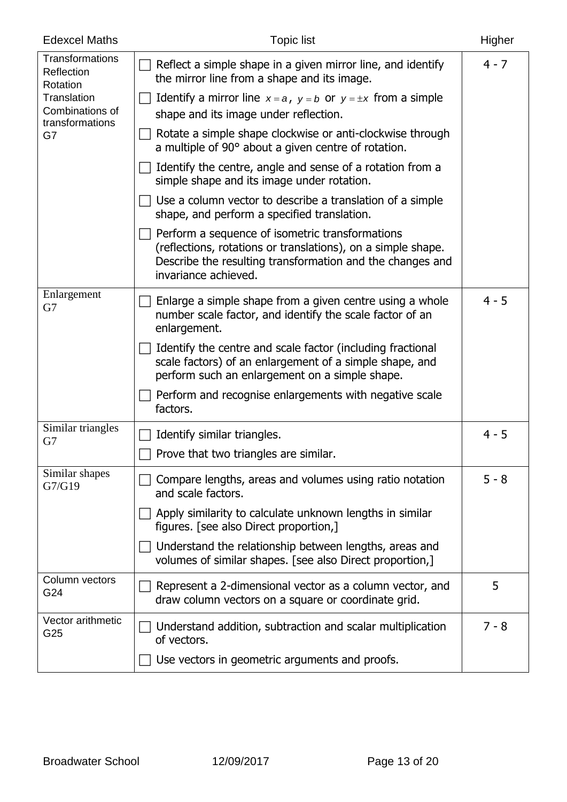| <b>Edexcel Maths</b>                                                                                        | <b>Topic list</b>                                                                                                                                                                                    | Higher  |
|-------------------------------------------------------------------------------------------------------------|------------------------------------------------------------------------------------------------------------------------------------------------------------------------------------------------------|---------|
| <b>Transformations</b><br>Reflection<br>Rotation<br>Translation<br>Combinations of<br>transformations<br>G7 | Reflect a simple shape in a given mirror line, and identify<br>the mirror line from a shape and its image.                                                                                           | $4 - 7$ |
|                                                                                                             | Identify a mirror line $x = a$ , $y = b$ or $y = \pm x$ from a simple<br>shape and its image under reflection.                                                                                       |         |
|                                                                                                             | Rotate a simple shape clockwise or anti-clockwise through<br>a multiple of 90° about a given centre of rotation.                                                                                     |         |
|                                                                                                             | Identify the centre, angle and sense of a rotation from a<br>simple shape and its image under rotation.                                                                                              |         |
|                                                                                                             | Use a column vector to describe a translation of a simple<br>shape, and perform a specified translation.                                                                                             |         |
|                                                                                                             | Perform a sequence of isometric transformations<br>(reflections, rotations or translations), on a simple shape.<br>Describe the resulting transformation and the changes and<br>invariance achieved. |         |
| Enlargement<br>G7                                                                                           | Enlarge a simple shape from a given centre using a whole<br>number scale factor, and identify the scale factor of an<br>enlargement.                                                                 | $4 - 5$ |
|                                                                                                             | Identify the centre and scale factor (including fractional<br>scale factors) of an enlargement of a simple shape, and<br>perform such an enlargement on a simple shape.                              |         |
|                                                                                                             | Perform and recognise enlargements with negative scale<br>factors.                                                                                                                                   |         |
| Similar triangles<br>G7                                                                                     | Identify similar triangles.                                                                                                                                                                          | $4 - 5$ |
|                                                                                                             | $\Box$ Prove that two triangles are similar.                                                                                                                                                         |         |
| Similar shapes<br>G7/G19                                                                                    | Compare lengths, areas and volumes using ratio notation<br>and scale factors.                                                                                                                        | $5 - 8$ |
|                                                                                                             | Apply similarity to calculate unknown lengths in similar<br>figures. [see also Direct proportion,]                                                                                                   |         |
|                                                                                                             | Understand the relationship between lengths, areas and<br>volumes of similar shapes. [see also Direct proportion,]                                                                                   |         |
| Column vectors<br>G24                                                                                       | Represent a 2-dimensional vector as a column vector, and<br>draw column vectors on a square or coordinate grid.                                                                                      | 5       |
| Vector arithmetic<br>G25                                                                                    | Understand addition, subtraction and scalar multiplication<br>of vectors.                                                                                                                            | $7 - 8$ |
|                                                                                                             | Use vectors in geometric arguments and proofs.                                                                                                                                                       |         |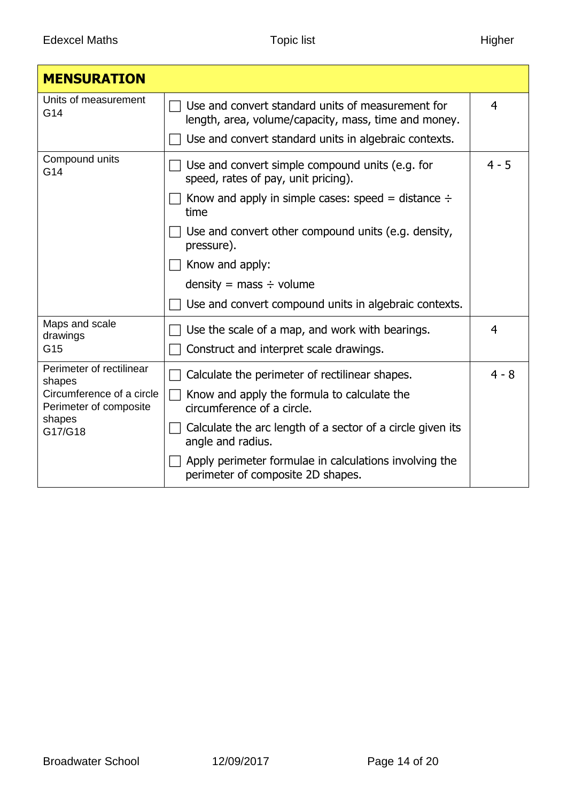| <b>MENSURATION</b>                                                                                             |                                                                                                           |                |
|----------------------------------------------------------------------------------------------------------------|-----------------------------------------------------------------------------------------------------------|----------------|
| Units of measurement<br>G14                                                                                    | Use and convert standard units of measurement for<br>length, area, volume/capacity, mass, time and money. | $\overline{4}$ |
|                                                                                                                | Use and convert standard units in algebraic contexts.                                                     |                |
| Compound units<br>G14                                                                                          | Use and convert simple compound units (e.g. for<br>speed, rates of pay, unit pricing).                    | $4 - 5$        |
|                                                                                                                | Know and apply in simple cases: speed = distance $\div$<br>time                                           |                |
|                                                                                                                | Use and convert other compound units (e.g. density,<br>pressure).                                         |                |
|                                                                                                                | Know and apply:                                                                                           |                |
|                                                                                                                | $density = mass \div volume$                                                                              |                |
|                                                                                                                | Use and convert compound units in algebraic contexts.                                                     |                |
| Maps and scale<br>drawings                                                                                     | Use the scale of a map, and work with bearings.                                                           | 4              |
| G15                                                                                                            | Construct and interpret scale drawings.                                                                   |                |
| Perimeter of rectilinear<br>shapes<br>Circumference of a circle<br>Perimeter of composite<br>shapes<br>G17/G18 | Calculate the perimeter of rectilinear shapes.                                                            | $4 - 8$        |
|                                                                                                                | Know and apply the formula to calculate the<br>circumference of a circle.                                 |                |
|                                                                                                                | Calculate the arc length of a sector of a circle given its<br>angle and radius.                           |                |
|                                                                                                                | Apply perimeter formulae in calculations involving the<br>perimeter of composite 2D shapes.               |                |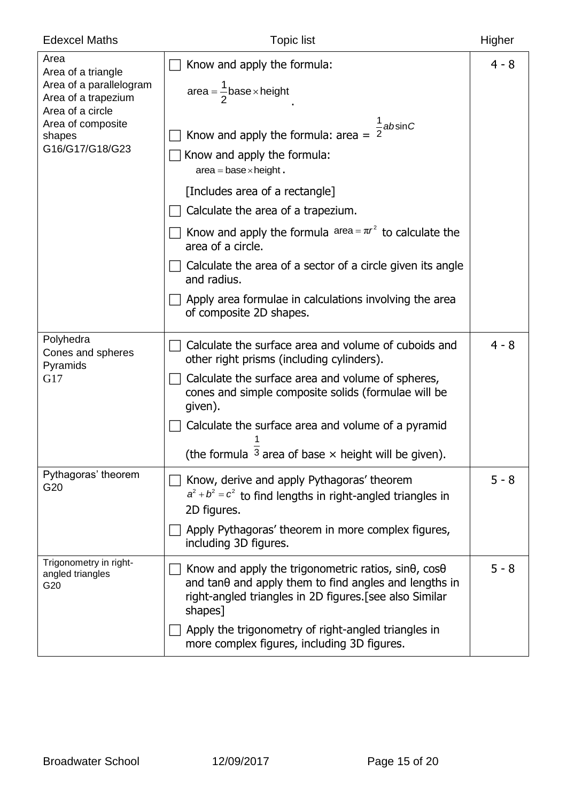| <b>Edexcel Maths</b>                                                                                                                               | <b>Topic list</b>                                                                                                                                                                                        | Higher  |
|----------------------------------------------------------------------------------------------------------------------------------------------------|----------------------------------------------------------------------------------------------------------------------------------------------------------------------------------------------------------|---------|
| Area<br>Area of a triangle<br>Area of a parallelogram<br>Area of a trapezium<br>Area of a circle<br>Area of composite<br>shapes<br>G16/G17/G18/G23 | Know and apply the formula:<br>area = $\frac{1}{2}$ base × height                                                                                                                                        | $4 - 8$ |
|                                                                                                                                                    | $rac{1}{2}$ absinC<br>Know and apply the formula: $area =$<br>Know and apply the formula:<br>$area = base \times height.$                                                                                |         |
|                                                                                                                                                    | [Includes area of a rectangle]                                                                                                                                                                           |         |
|                                                                                                                                                    | Calculate the area of a trapezium.                                                                                                                                                                       |         |
|                                                                                                                                                    | Know and apply the formula $area = \pi r^2$ to calculate the<br>area of a circle.                                                                                                                        |         |
|                                                                                                                                                    | Calculate the area of a sector of a circle given its angle<br>and radius.                                                                                                                                |         |
|                                                                                                                                                    | Apply area formulae in calculations involving the area<br>of composite 2D shapes.                                                                                                                        |         |
| Polyhedra<br>Cones and spheres<br>Pyramids                                                                                                         | Calculate the surface area and volume of cuboids and<br>other right prisms (including cylinders).                                                                                                        | $4 - 8$ |
| G17                                                                                                                                                | Calculate the surface area and volume of spheres,<br>cones and simple composite solids (formulae will be<br>given).                                                                                      |         |
|                                                                                                                                                    | Calculate the surface area and volume of a pyramid                                                                                                                                                       |         |
|                                                                                                                                                    | (the formula $3$ area of base $\times$ height will be given).                                                                                                                                            |         |
| Pythagoras' theorem<br>G20                                                                                                                         | Know, derive and apply Pythagoras' theorem<br>$a^2 + b^2 = c^2$ to find lengths in right-angled triangles in<br>2D figures.                                                                              | $5 - 8$ |
|                                                                                                                                                    | Apply Pythagoras' theorem in more complex figures,<br>including 3D figures.                                                                                                                              |         |
| Trigonometry in right-<br>angled triangles<br>G20                                                                                                  | Know and apply the trigonometric ratios, $sin\theta$ , $cos\theta$<br>and $tan\theta$ and apply them to find angles and lengths in<br>right-angled triangles in 2D figures. [see also Similar<br>shapes] | $5 - 8$ |
|                                                                                                                                                    | Apply the trigonometry of right-angled triangles in<br>more complex figures, including 3D figures.                                                                                                       |         |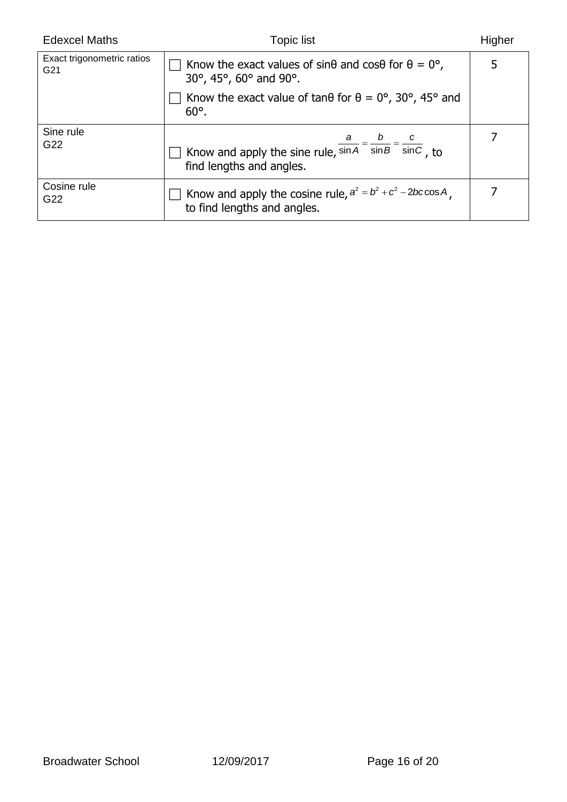| <b>Edexcel Maths</b>              | Topic list                                                                                                          | Higher |
|-----------------------------------|---------------------------------------------------------------------------------------------------------------------|--------|
| Exact trigonometric ratios<br>G21 | Know the exact values of sin $\theta$ and cos $\theta$ for $\theta = 0^{\circ}$ ,<br>30°, 45°, 60° and 90°.         | 5      |
|                                   | Know the exact value of tan $\theta$ for $\theta = 0^{\circ}$ , 30°, 45° and<br>$60^\circ$ .                        |        |
| Sine rule<br>G22                  | Know and apply the sine rule, $\sin A$ <sup>-</sup> $\sin B$ <sup>-</sup> $\sin C$ , to<br>find lengths and angles. |        |
| Cosine rule<br>G22                | Know and apply the cosine rule, $a^2 = b^2 + c^2 - 2bc \cos A$ ,<br>to find lengths and angles.                     |        |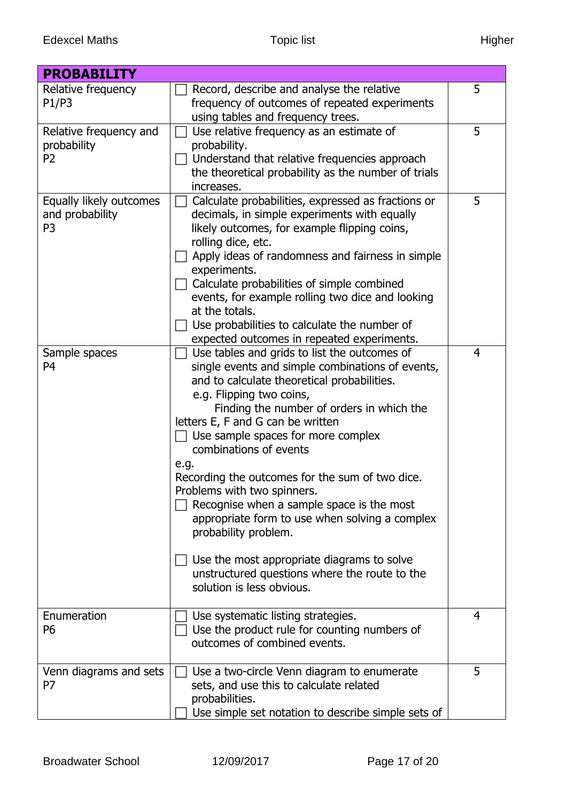| <b>PROBABILITY</b>                                           |                                                                                                                                                                                                                                                                                                                                                                                                                                                                                                                                                                                                                                                                            |                |  |
|--------------------------------------------------------------|----------------------------------------------------------------------------------------------------------------------------------------------------------------------------------------------------------------------------------------------------------------------------------------------------------------------------------------------------------------------------------------------------------------------------------------------------------------------------------------------------------------------------------------------------------------------------------------------------------------------------------------------------------------------------|----------------|--|
| Relative frequency<br>P1/P3                                  | Record, describe and analyse the relative<br>frequency of outcomes of repeated experiments<br>using tables and frequency trees.                                                                                                                                                                                                                                                                                                                                                                                                                                                                                                                                            | 5              |  |
| Relative frequency and<br>probability<br>P <sub>2</sub>      | Use relative frequency as an estimate of<br>probability.<br>Understand that relative frequencies approach<br>the theoretical probability as the number of trials<br>increases.                                                                                                                                                                                                                                                                                                                                                                                                                                                                                             | 5              |  |
| Equally likely outcomes<br>and probability<br>P <sub>3</sub> | Calculate probabilities, expressed as fractions or<br>decimals, in simple experiments with equally<br>likely outcomes, for example flipping coins,<br>rolling dice, etc.<br>Apply ideas of randomness and fairness in simple<br>experiments.<br>Calculate probabilities of simple combined<br>events, for example rolling two dice and looking<br>at the totals.<br>Use probabilities to calculate the number of<br>expected outcomes in repeated experiments.                                                                                                                                                                                                             | 5              |  |
| Sample spaces<br>P <sub>4</sub>                              | Use tables and grids to list the outcomes of<br>single events and simple combinations of events,<br>and to calculate theoretical probabilities.<br>e.g. Flipping two coins,<br>Finding the number of orders in which the<br>letters E, F and G can be written<br>Use sample spaces for more complex<br>combinations of events<br>e.g.<br>Recording the outcomes for the sum of two dice.<br>Problems with two spinners.<br>Recognise when a sample space is the most<br>appropriate form to use when solving a complex<br>probability problem.<br>Use the most appropriate diagrams to solve<br>unstructured questions where the route to the<br>solution is less obvious. | $\overline{4}$ |  |
| Enumeration<br>P <sub>6</sub>                                | Use systematic listing strategies.<br>Use the product rule for counting numbers of<br>outcomes of combined events.                                                                                                                                                                                                                                                                                                                                                                                                                                                                                                                                                         | $\overline{4}$ |  |
| Venn diagrams and sets<br>P7                                 | Use a two-circle Venn diagram to enumerate<br>sets, and use this to calculate related<br>probabilities.<br>Use simple set notation to describe simple sets of                                                                                                                                                                                                                                                                                                                                                                                                                                                                                                              | 5              |  |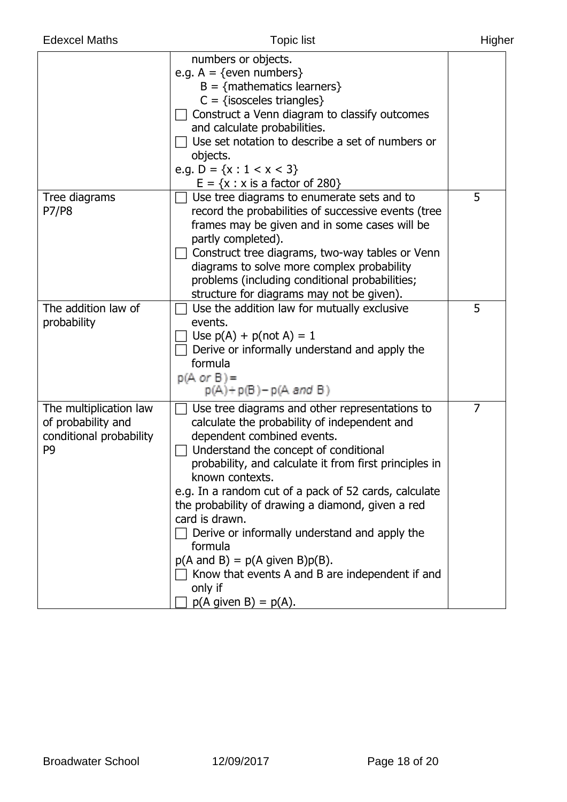| <b>Edexcel Maths</b>                                                                      | <b>Topic list</b>                                                                                                                                                                                                                                                                                                                                                                                                                                                                                                                                                                                     | Higher         |
|-------------------------------------------------------------------------------------------|-------------------------------------------------------------------------------------------------------------------------------------------------------------------------------------------------------------------------------------------------------------------------------------------------------------------------------------------------------------------------------------------------------------------------------------------------------------------------------------------------------------------------------------------------------------------------------------------------------|----------------|
|                                                                                           | numbers or objects.<br>e.g. $A = \{even \ numbers\}$<br>$B = \{math$ mathematics learners $\}$<br>$C = {isosceles triangles}$<br>Construct a Venn diagram to classify outcomes<br>and calculate probabilities.<br>Use set notation to describe a set of numbers or<br>objects.<br>e.g. $D = \{x : 1 < x < 3\}$<br>$E = \{x : x \text{ is a factor of } 280\}$                                                                                                                                                                                                                                         |                |
| Tree diagrams<br><b>P7/P8</b>                                                             | Use tree diagrams to enumerate sets and to<br>record the probabilities of successive events (tree<br>frames may be given and in some cases will be<br>partly completed).<br>Construct tree diagrams, two-way tables or Venn<br>diagrams to solve more complex probability<br>problems (including conditional probabilities;<br>structure for diagrams may not be given).                                                                                                                                                                                                                              | 5              |
| The addition law of<br>probability                                                        | Use the addition law for mutually exclusive<br>events.<br>Use $p(A) + p(not A) = 1$<br>Derive or informally understand and apply the<br>formula<br>$p(A \text{ or } B) =$<br>$p(A)+p(B)-p(A \text{ and } B)$                                                                                                                                                                                                                                                                                                                                                                                          | 5              |
| The multiplication law<br>of probability and<br>conditional probability<br>P <sub>9</sub> | Use tree diagrams and other representations to<br>calculate the probability of independent and<br>dependent combined events.<br>Understand the concept of conditional<br>probability, and calculate it from first principles in<br>known contexts.<br>e.g. In a random cut of a pack of 52 cards, calculate<br>the probability of drawing a diamond, given a red<br>card is drawn.<br>Derive or informally understand and apply the<br>formula<br>$p(A \text{ and } B) = p(A \text{ given } B)p(B).$<br>Know that events A and B are independent if and<br>only if<br>$p(A \text{ given } B) = p(A).$ | $\overline{7}$ |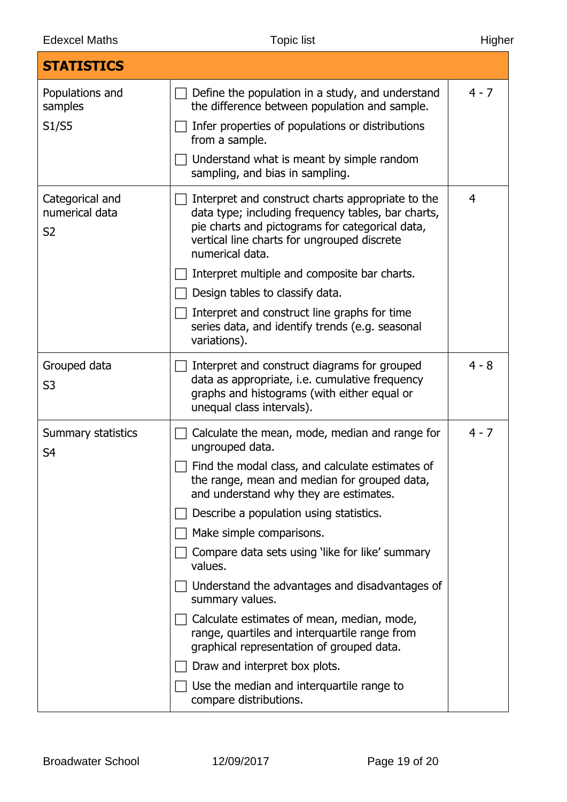| <b>STATISTICS</b>                                   |                                                                                                                                                                                                                                                                                                                                                                                                                                                                                                                                                                                                                                                                              |                |
|-----------------------------------------------------|------------------------------------------------------------------------------------------------------------------------------------------------------------------------------------------------------------------------------------------------------------------------------------------------------------------------------------------------------------------------------------------------------------------------------------------------------------------------------------------------------------------------------------------------------------------------------------------------------------------------------------------------------------------------------|----------------|
| Populations and<br>samples<br>S1/S5                 | Define the population in a study, and understand<br>the difference between population and sample.<br>Infer properties of populations or distributions<br>from a sample.<br>Understand what is meant by simple random<br>sampling, and bias in sampling.                                                                                                                                                                                                                                                                                                                                                                                                                      | $4 - 7$        |
| Categorical and<br>numerical data<br>S <sub>2</sub> | Interpret and construct charts appropriate to the<br>data type; including frequency tables, bar charts,<br>pie charts and pictograms for categorical data,<br>vertical line charts for ungrouped discrete<br>numerical data.<br>Interpret multiple and composite bar charts.<br>Design tables to classify data.<br>Interpret and construct line graphs for time<br>series data, and identify trends (e.g. seasonal<br>variations).                                                                                                                                                                                                                                           | $\overline{4}$ |
| Grouped data<br>S <sub>3</sub>                      | Interpret and construct diagrams for grouped<br>data as appropriate, i.e. cumulative frequency<br>graphs and histograms (with either equal or<br>unequal class intervals).                                                                                                                                                                                                                                                                                                                                                                                                                                                                                                   | $4 - 8$        |
| Summary statistics<br>S <sub>4</sub>                | Calculate the mean, mode, median and range for<br>ungrouped data.<br>Find the modal class, and calculate estimates of<br>the range, mean and median for grouped data<br>and understand why they are estimates.<br>Describe a population using statistics.<br>Make simple comparisons.<br>Compare data sets using 'like for like' summary<br>values.<br>Understand the advantages and disadvantages of<br>summary values.<br>Calculate estimates of mean, median, mode,<br>range, quartiles and interquartile range from<br>graphical representation of grouped data.<br>Draw and interpret box plots.<br>Use the median and interquartile range to<br>compare distributions. | $4 - 7$        |